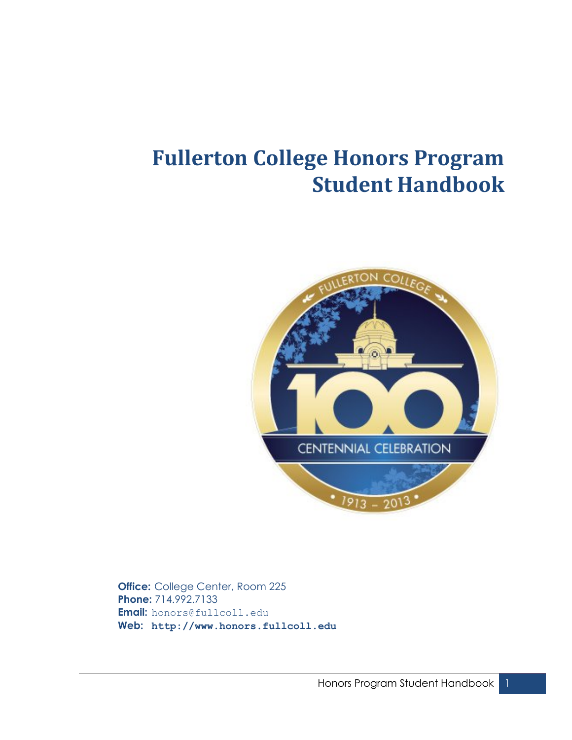# **Fullerton College Honors Program Student Handbook**



**Office:** College Center, Room 225 **Phone:** 714.992.7133 **Email:** honors@fullcoll.edu **Web: http://www.honors.fullcoll.edu**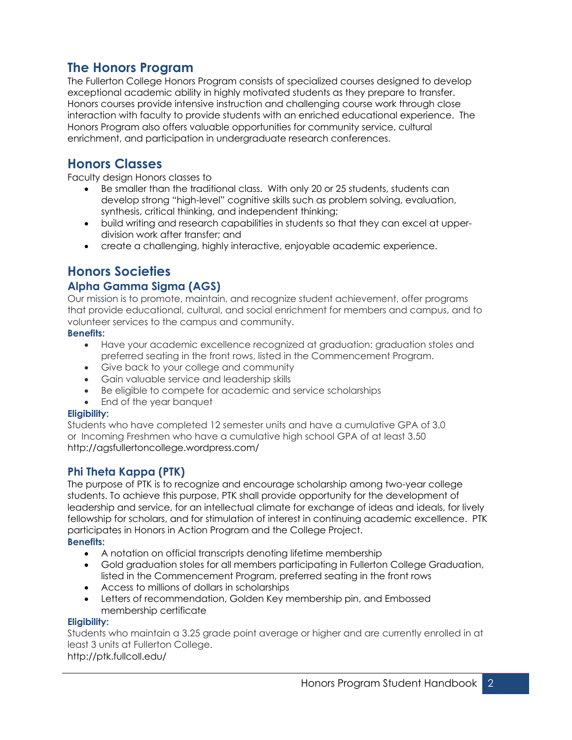# **The Honors Program**

The Fullerton College Honors Program consists of specialized courses designed to develop exceptional academic ability in highly motivated students as they prepare to transfer. Honors courses provide intensive instruction and challenging course work through close interaction with faculty to provide students with an enriched educational experience. The Honors Program also offers valuable opportunities for community service, cultural enrichment, and participation in undergraduate research conferences.

# **Honors Classes**

Faculty design Honors classes to

- Be smaller than the traditional class. With only 20 or 25 students, students can develop strong "high-level" cognitive skills such as problem solving, evaluation, synthesis, critical thinking, and independent thinking;
- build writing and research capabilities in students so that they can excel at upperdivision work after transfer; and
- create a challenging, highly interactive, enjoyable academic experience.

# **Honors Societies**

### **Alpha Gamma Sigma (AGS)**

Our mission is to promote, maintain, and recognize student achievement, offer programs that provide educational, cultural, and social enrichment for members and campus, and to volunteer services to the campus and community.

#### **Benefits:**

- Have your academic excellence recognized at graduation: graduation stoles and preferred seating in the front rows, listed in the Commencement Program.
- Give back to your college and community
- Gain valuable service and leadership skills
- Be eligible to compete for academic and service scholarships
- End of the year banquet

### **Eligibility:**

Students who have completed 12 semester units and have a cumulative GPA of 3.0 or Incoming Freshmen who have a cumulative high school GPA of at least 3.50 http://agsfullertoncollege.wordpress.com/

### **Phi Theta Kappa (PTK)**

The purpose of PTK is to recognize and encourage scholarship among two-year college students. To achieve this purpose, PTK shall provide opportunity for the development of leadership and service, for an intellectual climate for exchange of ideas and ideals, for lively fellowship for scholars, and for stimulation of interest in continuing academic excellence. PTK participates in Honors in Action Program and the College Project. **Benefits:**

- A notation on official transcripts denoting lifetime membership
- Gold graduation stoles for all members participating in Fullerton College Graduation, listed in the Commencement Program, preferred seating in the front rows
- Access to millions of dollars in scholarships
- Letters of recommendation, Golden Key membership pin, and Embossed membership certificate

#### **Eligibility:**

Students who maintain a 3.25 grade point average or higher and are currently enrolled in at least 3 units at Fullerton College. http://ptk.fullcoll.edu/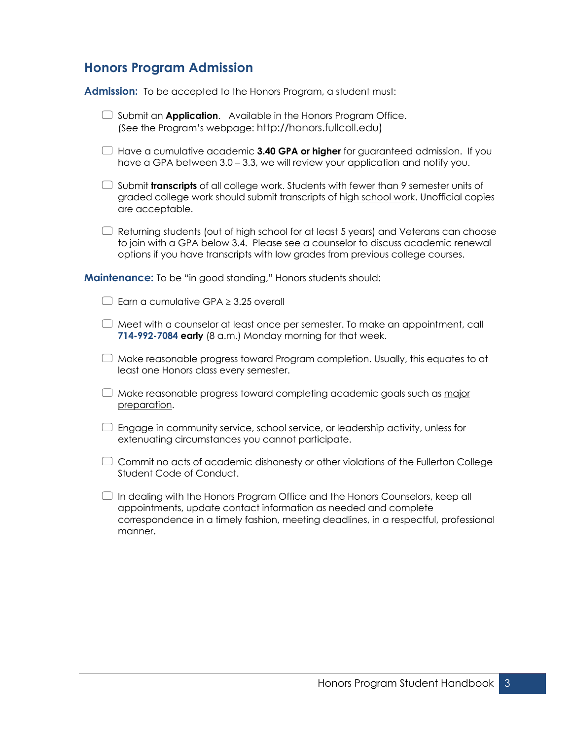# **Honors Program Admission**

**Admission:** To be accepted to the Honors Program, a student must:

| $\Box$ Submit an <b>Application</b> . Available in the Honors Program Office.<br>(See the Program's webpage: http://honors.fullcoll.edu)                                                                                                                   |
|------------------------------------------------------------------------------------------------------------------------------------------------------------------------------------------------------------------------------------------------------------|
| Have a cumulative academic 3.40 GPA or higher for guaranteed admission. If you<br>have a GPA between 3.0 – 3.3, we will review your application and notify you.                                                                                            |
| Submit <b>transcripts</b> of all college work. Students with fewer than 9 semester units of<br>graded college work should submit transcripts of high school work. Unofficial copies<br>are acceptable.                                                     |
| Returning students (out of high school for at least 5 years) and Veterans can choose<br>to join with a GPA below 3.4. Please see a counselor to discuss academic renewal<br>options if you have transcripts with low grades from previous college courses. |
| Maintenance: To be "in good standing," Honors students should:                                                                                                                                                                                             |
| $\Box$ Earn a cumulative GPA $\geq$ 3.25 overall                                                                                                                                                                                                           |
| Meet with a counselor at least once per semester. To make an appointment, call<br>714-992-7084 early (8 a.m.) Monday morning for that week.                                                                                                                |
| Make reasonable progress toward Program completion. Usually, this equates to at<br>least one Honors class every semester.                                                                                                                                  |
| Make reasonable progress toward completing academic goals such as major<br>preparation.                                                                                                                                                                    |
| Engage in community service, school service, or leadership activity, unless for<br>extenuating circumstances you cannot participate.                                                                                                                       |
| Commit no acts of academic dishonesty or other violations of the Fullerton College<br>Student Code of Conduct.                                                                                                                                             |
| In dealing with the Honors Program Office and the Honors Counselors, keep all<br>appointments, update contact information as needed and complete<br>correspondence in a timely fashion, meeting deadlines, in a respectful, professional<br>manner.        |
|                                                                                                                                                                                                                                                            |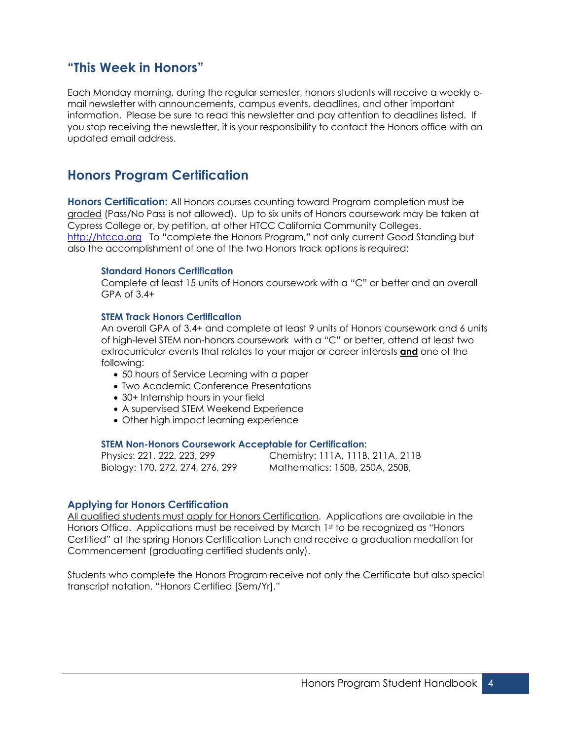### **"This Week in Honors"**

Each Monday morning, during the regular semester, honors students will receive a weekly email newsletter with announcements, campus events, deadlines, and other important information. Please be sure to read this newsletter and pay attention to deadlines listed. If you stop receiving the newsletter, it is your responsibility to contact the Honors office with an updated email address.

# **Honors Program Certification**

**Honors Certification:** All Honors courses counting toward Program completion must be graded (Pass/No Pass is not allowed). Up to six units of Honors coursework may be taken at Cypress College or, by petition, at other HTCC California Community Colleges. http://htcca.org To "complete the Honors Program," not only current Good Standing but also the accomplishment of one of the two Honors track options is required:

#### **Standard Honors Certification**

Complete at least 15 units of Honors coursework with a "C" or better and an overall GPA of 3.4+

#### **STEM Track Honors Certification**

An overall GPA of 3.4+ and complete at least 9 units of Honors coursework and 6 units of high-level STEM non-honors coursework with a "C" or better, attend at least two extracurricular events that relates to your major or career interests **and** one of the following:

- 50 hours of Service Learning with a paper
- Two Academic Conference Presentations
- 30+ Internship hours in your field
- A supervised STEM Weekend Experience
- Other high impact learning experience

#### **STEM Non-Honors Coursework Acceptable for Certification:**

Physics: 221, 222, 223, 299 Chemistry: 111A, 111B, 211A, 211B Biology: 170, 272, 274, 276, 299 Mathematics: 150B, 250A, 250B,

### **Applying for Honors Certification**

All qualified students must apply for Honors Certification. Applications are available in the Honors Office. Applications must be received by March 1st to be recognized as "Honors" Certified" at the spring Honors Certification Lunch and receive a graduation medallion for Commencement (graduating certified students only).

Students who complete the Honors Program receive not only the Certificate but also special transcript notation, "Honors Certified [Sem/Yr]."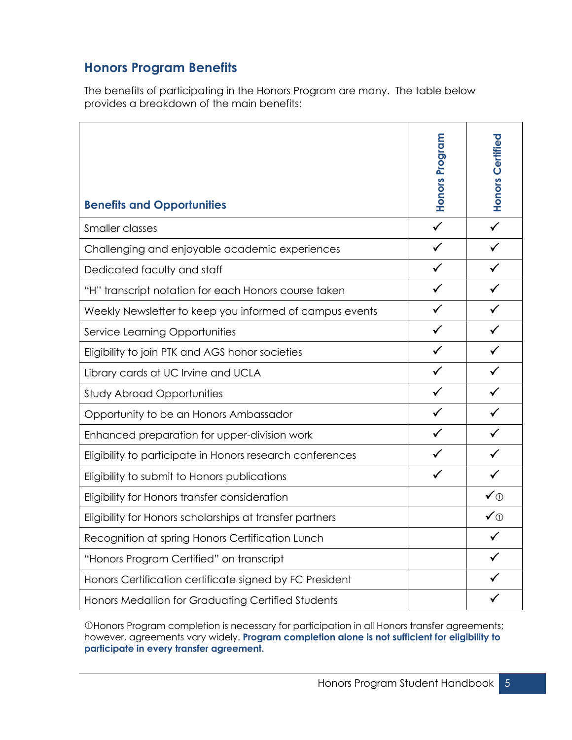# **Honors Program Benefits**

The benefits of participating in the Honors Program are many. The table below provides a breakdown of the main benefits:

|                                                           |                       | Honors Certified |
|-----------------------------------------------------------|-----------------------|------------------|
|                                                           |                       |                  |
|                                                           |                       |                  |
| <b>Benefits and Opportunities</b>                         | <b>Honors Program</b> |                  |
| Smaller classes                                           | $\checkmark$          | $\checkmark$     |
| Challenging and enjoyable academic experiences            | $\checkmark$          |                  |
| Dedicated faculty and staff                               | $\checkmark$          | $\checkmark$     |
| "H" transcript notation for each Honors course taken      | $\checkmark$          |                  |
| Weekly Newsletter to keep you informed of campus events   | $\checkmark$          | $\checkmark$     |
| <b>Service Learning Opportunities</b>                     | $\checkmark$          | $\checkmark$     |
| Eligibility to join PTK and AGS honor societies           | ✓                     |                  |
| Library cards at UC Irvine and UCLA                       | $\checkmark$          |                  |
| <b>Study Abroad Opportunities</b>                         | $\checkmark$          | $\checkmark$     |
| Opportunity to be an Honors Ambassador                    | $\checkmark$          |                  |
| Enhanced preparation for upper-division work              | $\checkmark$          | $\checkmark$     |
| Eligibility to participate in Honors research conferences | $\checkmark$          | $\checkmark$     |
| Eligibility to submit to Honors publications              |                       | $\checkmark$     |
| Eligibility for Honors transfer consideration             |                       | ✔①               |
| Eligibility for Honors scholarships at transfer partners  |                       | ✔①               |
| Recognition at spring Honors Certification Lunch          |                       |                  |
| "Honors Program Certified" on transcript                  |                       |                  |
| Honors Certification certificate signed by FC President   |                       |                  |
| Honors Medallion for Graduating Certified Students        |                       |                  |

OHonors Program completion is necessary for participation in all Honors transfer agreements; however, agreements vary widely. **Program completion alone is not sufficient for eligibility to participate in every transfer agreement.**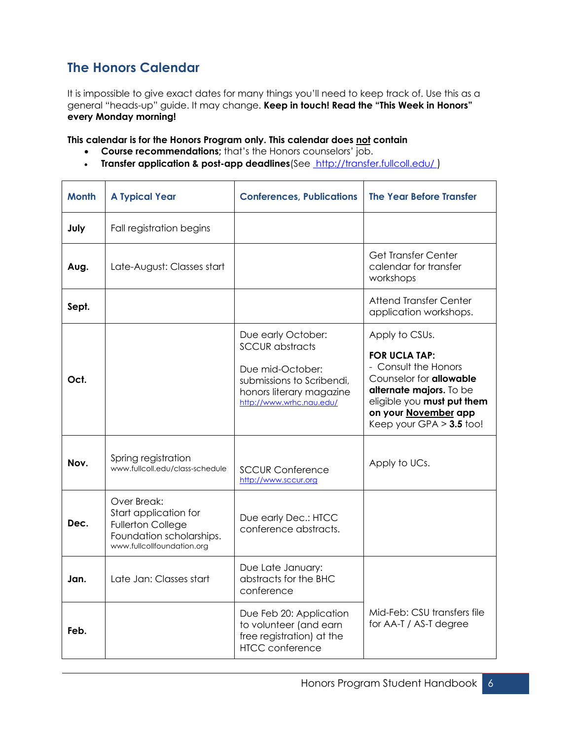# **The Honors Calendar**

It is impossible to give exact dates for many things you'll need to keep track of. Use this as a general "heads-up" guide. It may change. **Keep in touch! Read the "This Week in Honors" every Monday morning!**

**This calendar is for the Honors Program only. This calendar does not contain**

- **Course recommendations;** that's the Honors counselors' job.
- **Transfer application & post-app deadlines**(See http://transfer.fullcoll.edu/ )

| <b>Month</b> | <b>A Typical Year</b>                                                                                                      | <b>Conferences, Publications</b>                                                                                                                      | <b>The Year Before Transfer</b>                                                                                                                                                                                 |
|--------------|----------------------------------------------------------------------------------------------------------------------------|-------------------------------------------------------------------------------------------------------------------------------------------------------|-----------------------------------------------------------------------------------------------------------------------------------------------------------------------------------------------------------------|
| July         | Fall registration begins                                                                                                   |                                                                                                                                                       |                                                                                                                                                                                                                 |
| Aug.         | Late-August: Classes start                                                                                                 |                                                                                                                                                       | Get Transfer Center<br>calendar for transfer<br>workshops                                                                                                                                                       |
| Sept.        |                                                                                                                            |                                                                                                                                                       | <b>Attend Transfer Center</b><br>application workshops.                                                                                                                                                         |
| Oct.         |                                                                                                                            | Due early October:<br><b>SCCUR</b> abstracts<br>Due mid-October:<br>submissions to Scribendi,<br>honors literary magazine<br>http://www.wrhc.nau.edu/ | Apply to CSUs.<br><b>FOR UCLA TAP:</b><br>- Consult the Honors<br>Counselor for <b>allowable</b><br>alternate majors. To be<br>eligible you must put them<br>on your November app<br>Keep your GPA $>$ 3.5 too! |
| Nov.         | Spring registration<br>www.fullcoll.edu/class-schedule                                                                     | <b>SCCUR Conference</b><br>http://www.sccur.org                                                                                                       | Apply to UCs.                                                                                                                                                                                                   |
| Dec.         | Over Break:<br>Start application for<br><b>Fullerton College</b><br>Foundation scholarships.<br>www.fullcollfoundation.org | Due early Dec.: HTCC<br>conference abstracts.                                                                                                         |                                                                                                                                                                                                                 |
| Jan.         | Late Jan: Classes start                                                                                                    | Due Late January:<br>abstracts for the BHC<br>conference                                                                                              |                                                                                                                                                                                                                 |
| Feb.         |                                                                                                                            | Due Feb 20: Application<br>to volunteer (and earn<br>free registration) at the<br><b>HTCC</b> conference                                              | Mid-Feb: CSU transfers file<br>for AA-T / AS-T degree                                                                                                                                                           |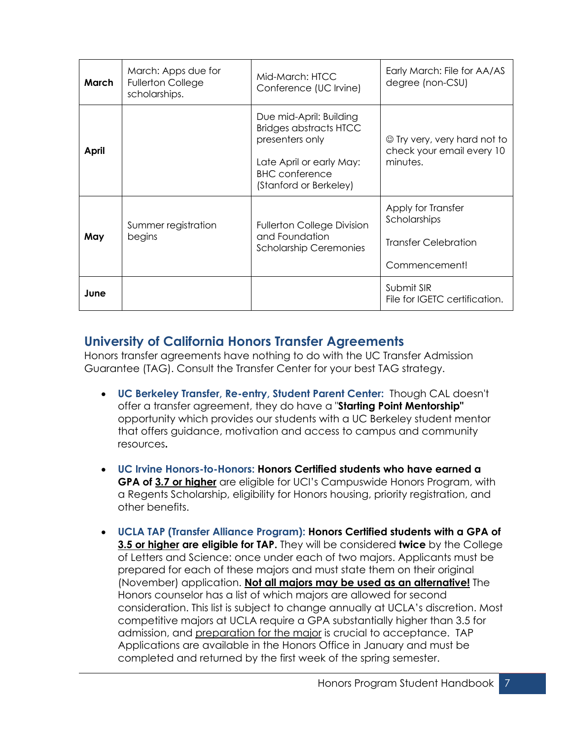| March | March: Apps due for<br><b>Fullerton College</b><br>scholarships. | Mid-March: HTCC<br>Conference (UC Irvine)                                                                                                                  | Early March: File for AA/AS<br>degree (non-CSU)                                    |
|-------|------------------------------------------------------------------|------------------------------------------------------------------------------------------------------------------------------------------------------------|------------------------------------------------------------------------------------|
| April |                                                                  | Due mid-April: Building<br><b>Bridges abstracts HTCC</b><br>presenters only<br>Late April or early May:<br><b>BHC</b> conference<br>(Stanford or Berkeley) | $\circledcirc$ Try very, very hard not to<br>check your email every 10<br>minutes. |
| May   | Summer registration<br>begins                                    | <b>Fullerton College Division</b><br>and Foundation<br><b>Scholarship Ceremonies</b>                                                                       | Apply for Transfer<br>Scholarships<br>Transfer Celebration<br>Commencement!        |
| June  |                                                                  |                                                                                                                                                            | Submit SIR<br>File for IGETC certification.                                        |

# **University of California Honors Transfer Agreements**

Honors transfer agreements have nothing to do with the UC Transfer Admission Guarantee (TAG). Consult the Transfer Center for your best TAG strategy.

- **UC Berkeley Transfer, Re-entry, Student Parent Center:** Though CAL doesn't offer a transfer agreement, they do have a "**Starting Point Mentorship"** opportunity which provides our students with a UC Berkeley student mentor that offers guidance, motivation and access to campus and community resources**.**
- **UC Irvine Honors-to-Honors: Honors Certified students who have earned a GPA of 3.7 or higher** are eligible for UCI's Campuswide Honors Program, with a Regents Scholarship, eligibility for Honors housing, priority registration, and other benefits.
- **UCLA TAP (Transfer Alliance Program): Honors Certified students with a GPA of 3.5 or higher are eligible for TAP.** They will be considered **twice** by the College of Letters and Science: once under each of two majors. Applicants must be prepared for each of these majors and must state them on their original (November) application. **Not all majors may be used as an alternative!** The Honors counselor has a list of which majors are allowed for second consideration. This list is subject to change annually at UCLA's discretion. Most competitive majors at UCLA require a GPA substantially higher than 3.5 for admission, and preparation for the major is crucial to acceptance. TAP Applications are available in the Honors Office in January and must be completed and returned by the first week of the spring semester.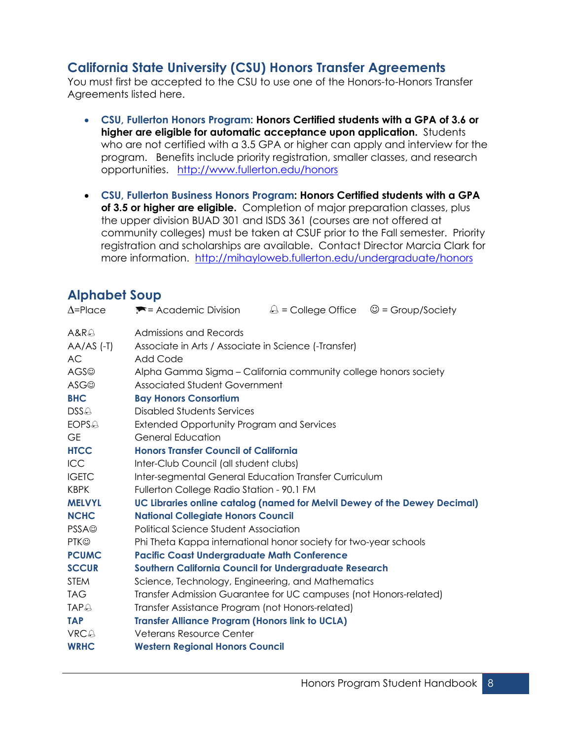# **California State University (CSU) Honors Transfer Agreements**

You must first be accepted to the CSU to use one of the Honors-to-Honors Transfer Agreements listed here.

- **CSU, Fullerton Honors Program: Honors Certified students with a GPA of 3.6 or higher are eligible for automatic acceptance upon application.** Students who are not certified with a 3.5 GPA or higher can apply and interview for the program. Benefits include priority registration, smaller classes, and research opportunities. http://www.fullerton.edu/honors
- **CSU, Fullerton Business Honors Program: Honors Certified students with a GPA of 3.5 or higher are eligible.** Completion of major preparation classes, plus the upper division BUAD 301 and ISDS 361 (courses are not offered at community colleges) must be taken at CSUF prior to the Fall semester. Priority registration and scholarships are available. Contact Director Marcia Clark for more information. http://mihayloweb.fullerton.edu/undergraduate/honors

# **Alphabet Soup**

| $\Delta =$ Place         | $\blacktriangleright$ = Academic Division                                 |  | $\bigcirc$ = College Office $\bigcirc$ = Group/Society |  |
|--------------------------|---------------------------------------------------------------------------|--|--------------------------------------------------------|--|
| A&R@                     | Admissions and Records                                                    |  |                                                        |  |
| $AA/AS$ (-T)             | Associate in Arts / Associate in Science (-Transfer)                      |  |                                                        |  |
| <b>AC</b>                | Add Code                                                                  |  |                                                        |  |
| AGS <sup>®</sup>         | Alpha Gamma Sigma – California community college honors society           |  |                                                        |  |
| <b>ASG</b> <sup>®</sup>  | Associated Student Government                                             |  |                                                        |  |
| <b>BHC</b>               | <b>Bay Honors Consortium</b>                                              |  |                                                        |  |
| $DSS \triangle$          | Disabled Students Services                                                |  |                                                        |  |
| <b>EOPS</b> <sup>®</sup> | <b>Extended Opportunity Program and Services</b>                          |  |                                                        |  |
| <b>GE</b>                | General Education                                                         |  |                                                        |  |
| <b>HTCC</b>              | <b>Honors Transfer Council of California</b>                              |  |                                                        |  |
| ICC                      | Inter-Club Council (all student clubs)                                    |  |                                                        |  |
| <b>IGETC</b>             | Inter-segmental General Education Transfer Curriculum                     |  |                                                        |  |
| <b>KBPK</b>              | Fullerton College Radio Station - 90.1 FM                                 |  |                                                        |  |
| <b>MELVYL</b>            | UC Libraries online catalog (named for Melvil Dewey of the Dewey Decimal) |  |                                                        |  |
| <b>NCHC</b>              | <b>National Collegiate Honors Council</b>                                 |  |                                                        |  |
| <b>PSSA</b> <sup>©</sup> | <b>Political Science Student Association</b>                              |  |                                                        |  |
| <b>PTK©</b>              | Phi Theta Kappa international honor society for two-year schools          |  |                                                        |  |
| <b>PCUMC</b>             | <b>Pacific Coast Undergraduate Math Conference</b>                        |  |                                                        |  |
| <b>SCCUR</b>             | <b>Southern California Council for Undergraduate Research</b>             |  |                                                        |  |
| <b>STEM</b>              | Science, Technology, Engineering, and Mathematics                         |  |                                                        |  |
| <b>TAG</b>               | Transfer Admission Guarantee for UC campuses (not Honors-related)         |  |                                                        |  |
| <b>TAP</b> <sup></sup>   | Transfer Assistance Program (not Honors-related)                          |  |                                                        |  |
| <b>TAP</b>               | <b>Transfer Alliance Program (Honors link to UCLA)</b>                    |  |                                                        |  |
| VRCA                     | Veterans Resource Center                                                  |  |                                                        |  |
| <b>WRHC</b>              | <b>Western Regional Honors Council</b>                                    |  |                                                        |  |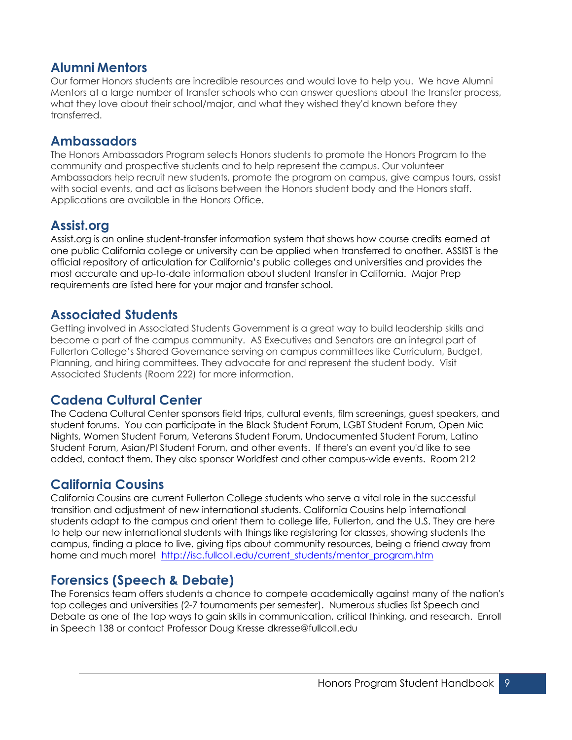# **Alumni Mentors**

Our former Honors students are incredible resources and would love to help you. We have Alumni Mentors at a large number of transfer schools who can answer questions about the transfer process, what they love about their school/major, and what they wished they'd known before they transferred.

### **Ambassadors**

The Honors Ambassadors Program selects Honors students to promote the Honors Program to the community and prospective students and to help represent the campus. Our volunteer Ambassadors help recruit new students, promote the program on campus, give campus tours, assist with social events, and act as liaisons between the Honors student body and the Honors staff. Applications are available in the Honors Office.

# **Assist.org**

Assist.org is an online student-transfer information system that shows how course credits earned at one public California college or university can be applied when transferred to another. ASSIST is the official repository of articulation for California's public colleges and universities and provides the most accurate and up-to-date information about student transfer in California. Major Prep requirements are listed here for your major and transfer school.

### **Associated Students**

Getting involved in Associated Students Government is a great way to build leadership skills and become a part of the campus community. AS Executives and Senators are an integral part of Fullerton College's Shared Governance serving on campus committees like Curriculum, Budget, Planning, and hiring committees. They advocate for and represent the student body. Visit Associated Students (Room 222) for more information.

# **Cadena Cultural Center**

The Cadena Cultural Center sponsors field trips, cultural events, film screenings, guest speakers, and student forums. You can participate in the Black Student Forum, LGBT Student Forum, Open Mic Nights, Women Student Forum, Veterans Student Forum, Undocumented Student Forum, Latino Student Forum, Asian/PI Student Forum, and other events. If there's an event you'd like to see added, contact them. They also sponsor Worldfest and other campus-wide events. Room 212

# **California Cousins**

California Cousins are current Fullerton College students who serve a vital role in the successful transition and adjustment of new international students. California Cousins help international students adapt to the campus and orient them to college life, Fullerton, and the U.S. They are here to help our new international students with things like registering for classes, showing students the campus, finding a place to live, giving tips about community resources, being a friend away from home and much more! http://isc.fullcoll.edu/current\_students/mentor\_program.htm

# **Forensics (Speech & Debate)**

The Forensics team offers students a chance to compete academically against many of the nation's top colleges and universities (2-7 tournaments per semester). Numerous studies list Speech and Debate as one of the top ways to gain skills in communication, critical thinking, and research. Enroll in Speech 138 or contact Professor Doug Kresse dkresse@fullcoll.edu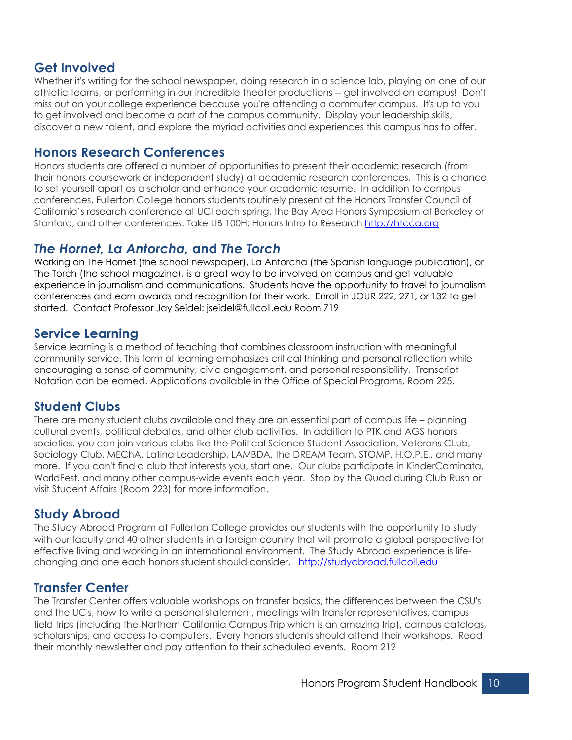# **Get Involved**

Whether it's writing for the school newspaper, doing research in a science lab, playing on one of our athletic teams, or performing in our incredible theater productions -- get involved on campus! Don't miss out on your college experience because you're attending a commuter campus. It's up to you to get involved and become a part of the campus community. Display your leadership skills, discover a new talent, and explore the myriad activities and experiences this campus has to offer.

# **Honors Research Conferences**

Honors students are offered a number of opportunities to present their academic research (from their honors coursework or independent study) at academic research conferences. This is a chance to set yourself apart as a scholar and enhance your academic resume. In addition to campus conferences, Fullerton College honors students routinely present at the Honors Transfer Council of California's research conference at UCI each spring, the Bay Area Honors Symposium at Berkeley or Stanford, and other conferences. Take LIB 100H: Honors Intro to Research http://htcca.org

# *The Hornet, La Antorcha,* **and** *The Torch*

Working on The Hornet (the school newspaper), La Antorcha (the Spanish language publication), or The Torch (the school magazine), is a great way to be involved on campus and get valuable experience in journalism and communications. Students have the opportunity to travel to journalism conferences and earn awards and recognition for their work. Enroll in JOUR 222, 271, or 132 to get started. Contact Professor Jay Seidel: jseidel@fullcoll.edu Room 719

# **Service Learning**

Service learning is a method of teaching that combines classroom instruction with meaningful community service. This form of learning emphasizes critical thinking and personal reflection while encouraging a sense of community, civic engagement, and personal responsibility. Transcript Notation can be earned. Applications available in the Office of Special Programs, Room 225.

### **Student Clubs**

There are many student clubs available and they are an essential part of campus life – planning cultural events, political debates, and other club activities. In addition to PTK and AGS honors societies, you can join various clubs like the Political Science Student Association, Veterans CLub, Sociology Club, MEChA, Latina Leadership, LAMBDA, the DREAM Team, STOMP, H.O.P.E., and many more. If you can't find a club that interests you, start one. Our clubs participate in KinderCaminata, WorldFest, and many other campus-wide events each year. Stop by the Quad during Club Rush or visit Student Affairs (Room 223) for more information.

# **Study Abroad**

The Study Abroad Program at Fullerton College provides our students with the opportunity to study with our faculty and 40 other students in a foreign country that will promote a global perspective for effective living and working in an international environment. The Study Abroad experience is lifechanging and one each honors student should consider. http://studyabroad.fullcoll.edu

# **Transfer Center**

The Transfer Center offers valuable workshops on transfer basics, the differences between the CSU's and the UC's, how to write a personal statement, meetings with transfer representatives, campus field trips (including the Northern California Campus Trip which is an amazing trip), campus catalogs, scholarships, and access to computers. Every honors students should attend their workshops. Read their monthly newsletter and pay attention to their scheduled events. Room 212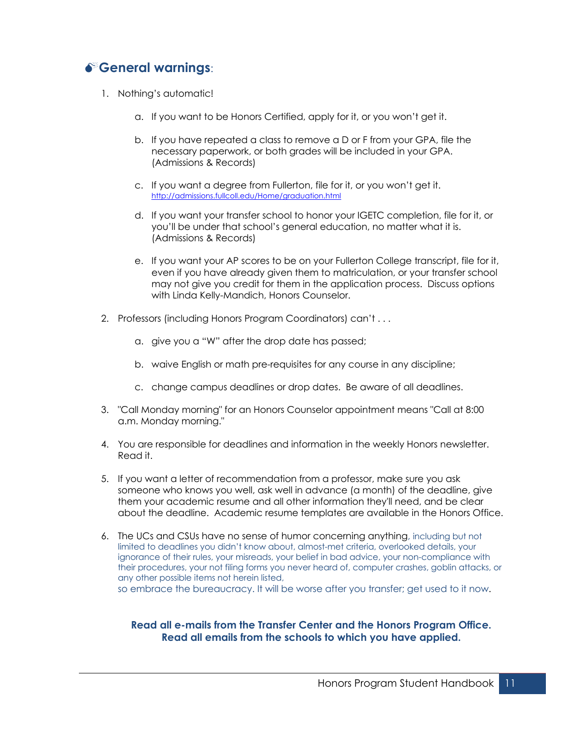# M**General warnings**:

- 1. Nothing's automatic!
	- a. If you want to be Honors Certified, apply for it, or you won't get it.
	- b. If you have repeated a class to remove a D or F from your GPA, file the necessary paperwork, or both grades will be included in your GPA. (Admissions & Records)
	- c. If you want a degree from Fullerton, file for it, or you won't get it. http://admissions.fullcoll.edu/Home/graduation.html
	- d. If you want your transfer school to honor your IGETC completion, file for it, or you'll be under that school's general education, no matter what it is. (Admissions & Records)
	- e. If you want your AP scores to be on your Fullerton College transcript, file for it, even if you have already given them to matriculation, or your transfer school may not give you credit for them in the application process. Discuss options with Linda Kelly-Mandich, Honors Counselor.
- 2. Professors (including Honors Program Coordinators) can't . . .
	- a. give you a "W" after the drop date has passed;
	- b. waive English or math pre-requisites for any course in any discipline;
	- c. change campus deadlines or drop dates. Be aware of all deadlines.
- 3. "Call Monday morning" for an Honors Counselor appointment means "Call at 8:00 a.m. Monday morning."
- 4. You are responsible for deadlines and information in the weekly Honors newsletter. Read it.
- 5. If you want a letter of recommendation from a professor, make sure you ask someone who knows you well, ask well in advance (a month) of the deadline, give them your academic resume and all other information they'll need, and be clear about the deadline. Academic resume templates are available in the Honors Office.
- 6. The UCs and CSUs have no sense of humor concerning anything, including but not limited to deadlines you didn't know about, almost-met criteria, overlooked details, your ignorance of their rules, your misreads, your belief in bad advice, your non-compliance with their procedures, your not filing forms you never heard of, computer crashes, goblin attacks, or any other possible items not herein listed, so embrace the bureaucracy. It will be worse after you transfer; get used to it now.

### **Read all e-mails from the Transfer Center and the Honors Program Office. Read all emails from the schools to which you have applied.**